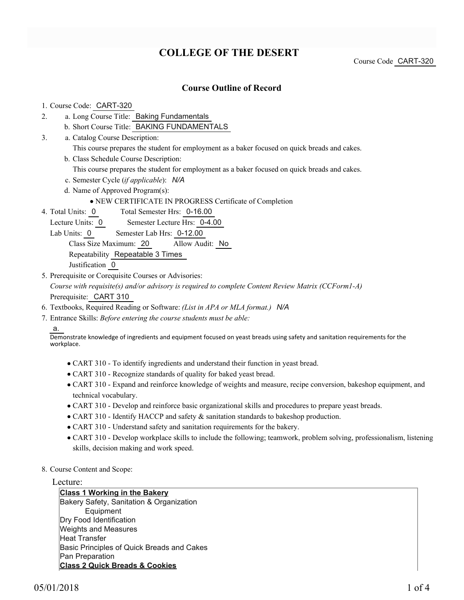## **COLLEGE OF THE DESERT**

Course Code CART-320

### **Course Outline of Record**

#### 1. Course Code: CART-320

- a. Long Course Title: Baking Fundamentals 2.
	- b. Short Course Title: BAKING FUNDAMENTALS
- Catalog Course Description: a. 3.
	- This course prepares the student for employment as a baker focused on quick breads and cakes.
	- b. Class Schedule Course Description:
		- This course prepares the student for employment as a baker focused on quick breads and cakes.
	- c. Semester Cycle (*if applicable*): *N/A*
	- d. Name of Approved Program(s):
		- NEW CERTIFICATE IN PROGRESS Certificate of Completion
- Total Semester Hrs: 0-16.00 4. Total Units: 0
	- Lecture Units: 0 Semester Lecture Hrs: 0-4.00
	- Lab Units: 0 Semester Lab Hrs: 0-12.00

Class Size Maximum: 20 Allow Audit: No

Repeatability Repeatable 3 Times

Justification 0

- 5. Prerequisite or Corequisite Courses or Advisories: *Course with requisite(s) and/or advisory is required to complete Content Review Matrix (CCForm1-A)* Prerequisite: CART 310
- 6. Textbooks, Required Reading or Software: *(List in APA or MLA format.) N/A*
- Entrance Skills: *Before entering the course students must be able:* 7.

a.

Demonstrate knowledge of ingredients and equipment focused on yeast breads using safety and sanitation requirements for the workplace.

- CART 310 To identify ingredients and understand their function in yeast bread.
- CART 310 Recognize standards of quality for baked yeast bread.
- CART 310 Expand and reinforce knowledge of weights and measure, recipe conversion, bakeshop equipment, and technical vocabulary.
- CART 310 Develop and reinforce basic organizational skills and procedures to prepare yeast breads.
- CART 310 Identify HACCP and safety & sanitation standards to bakeshop production.
- CART 310 Understand safety and sanitation requirements for the bakery.
- CART 310 Develop workplace skills to include the following; teamwork, problem solving, professionalism, listening skills, decision making and work speed.
- 8. Course Content and Scope:

#### Lecture:

**Class 1 Working in the Bakery** Bakery Safety, Sanitation & Organization Equipment Dry Food Identification Weights and Measures Heat Transfer Basic Principles of Quick Breads and Cakes Pan Preparation **Class 2 Quick Breads & Cookies**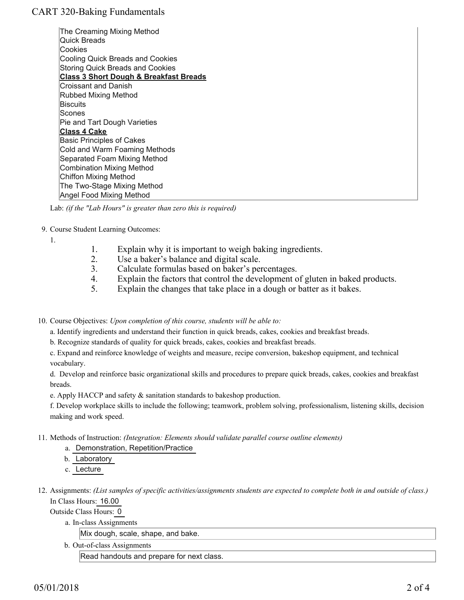## CART 320-Baking Fundamentals

The Creaming Mixing Method Quick Breads Cookies Cooling Quick Breads and Cookies Storing Quick Breads and Cookies **Class 3 Short Dough & Breakfast Breads** Croissant and Danish Rubbed Mixing Method **Biscuits** Scones Pie and Tart Dough Varieties **Class 4 Cake** Basic Principles of Cakes Cold and Warm Foaming Methods Separated Foam Mixing Method Combination Mixing Method Chiffon Mixing Method The Two-Stage Mixing Method Angel Food Mixing Method

Lab: *(if the "Lab Hours" is greater than zero this is required)*

9. Course Student Learning Outcomes:

1.

- 1. Explain why it is important to weigh baking ingredients.
- 2. Use a baker's balance and digital scale.
- 3. Calculate formulas based on baker's percentages.
- 4. Explain the factors that control the development of gluten in baked products.
- 5. Explain the changes that take place in a dough or batter as it bakes.

10. Course Objectives: Upon completion of this course, students will be able to:

a. Identify ingredients and understand their function in quick breads, cakes, cookies and breakfast breads.

- b. Recognize standards of quality for quick breads, cakes, cookies and breakfast breads.
- c. Expand and reinforce knowledge of weights and measure, recipe conversion, bakeshop equipment, and technical vocabulary.

d. Develop and reinforce basic organizational skills and procedures to prepare quick breads, cakes, cookies and breakfast breads.

e. Apply HACCP and safety & sanitation standards to bakeshop production.

f. Develop workplace skills to include the following; teamwork, problem solving, professionalism, listening skills, decision making and work speed.

- Methods of Instruction: *(Integration: Elements should validate parallel course outline elements)* 11.
	- a. Demonstration, Repetition/Practice
	- b. Laboratory
	- c. Lecture
- 12. Assignments: (List samples of specific activities/assignments students are expected to complete both in and outside of class.) In Class Hours: 16.00

Outside Class Hours: 0

a. In-class Assignments

Mix dough, scale, shape, and bake.

b. Out-of-class Assignments

Read handouts and prepare for next class.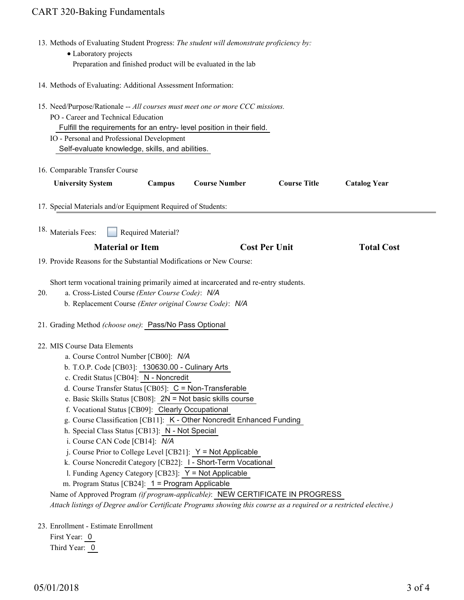# CART 320-Baking Fundamentals

|     | 13. Methods of Evaluating Student Progress: The student will demonstrate proficiency by:                                                                                                                                                                                                                                                                                                                                                                                                                                                                                                                                                                                                                                                                                                                                                                                                                                                                                       |
|-----|--------------------------------------------------------------------------------------------------------------------------------------------------------------------------------------------------------------------------------------------------------------------------------------------------------------------------------------------------------------------------------------------------------------------------------------------------------------------------------------------------------------------------------------------------------------------------------------------------------------------------------------------------------------------------------------------------------------------------------------------------------------------------------------------------------------------------------------------------------------------------------------------------------------------------------------------------------------------------------|
|     | • Laboratory projects<br>Preparation and finished product will be evaluated in the lab                                                                                                                                                                                                                                                                                                                                                                                                                                                                                                                                                                                                                                                                                                                                                                                                                                                                                         |
|     |                                                                                                                                                                                                                                                                                                                                                                                                                                                                                                                                                                                                                                                                                                                                                                                                                                                                                                                                                                                |
|     | 14. Methods of Evaluating: Additional Assessment Information:                                                                                                                                                                                                                                                                                                                                                                                                                                                                                                                                                                                                                                                                                                                                                                                                                                                                                                                  |
|     | 15. Need/Purpose/Rationale -- All courses must meet one or more CCC missions.<br>PO - Career and Technical Education<br>Fulfill the requirements for an entry-level position in their field.<br>IO - Personal and Professional Development<br>Self-evaluate knowledge, skills, and abilities.                                                                                                                                                                                                                                                                                                                                                                                                                                                                                                                                                                                                                                                                                  |
|     |                                                                                                                                                                                                                                                                                                                                                                                                                                                                                                                                                                                                                                                                                                                                                                                                                                                                                                                                                                                |
|     | 16. Comparable Transfer Course                                                                                                                                                                                                                                                                                                                                                                                                                                                                                                                                                                                                                                                                                                                                                                                                                                                                                                                                                 |
|     | <b>Course Number</b><br><b>Course Title</b><br><b>University System</b><br>Campus<br><b>Catalog Year</b>                                                                                                                                                                                                                                                                                                                                                                                                                                                                                                                                                                                                                                                                                                                                                                                                                                                                       |
|     | 17. Special Materials and/or Equipment Required of Students:                                                                                                                                                                                                                                                                                                                                                                                                                                                                                                                                                                                                                                                                                                                                                                                                                                                                                                                   |
|     | <sup>18.</sup> Materials Fees:<br>Required Material?                                                                                                                                                                                                                                                                                                                                                                                                                                                                                                                                                                                                                                                                                                                                                                                                                                                                                                                           |
|     | <b>Material or Item</b><br><b>Cost Per Unit</b><br><b>Total Cost</b>                                                                                                                                                                                                                                                                                                                                                                                                                                                                                                                                                                                                                                                                                                                                                                                                                                                                                                           |
|     |                                                                                                                                                                                                                                                                                                                                                                                                                                                                                                                                                                                                                                                                                                                                                                                                                                                                                                                                                                                |
|     | 19. Provide Reasons for the Substantial Modifications or New Course:                                                                                                                                                                                                                                                                                                                                                                                                                                                                                                                                                                                                                                                                                                                                                                                                                                                                                                           |
| 20. | Short term vocational training primarily aimed at incarcerated and re-entry students.<br>a. Cross-Listed Course (Enter Course Code): N/A<br>b. Replacement Course (Enter original Course Code): N/A                                                                                                                                                                                                                                                                                                                                                                                                                                                                                                                                                                                                                                                                                                                                                                            |
|     | 21. Grading Method (choose one): Pass/No Pass Optional                                                                                                                                                                                                                                                                                                                                                                                                                                                                                                                                                                                                                                                                                                                                                                                                                                                                                                                         |
|     | 22. MIS Course Data Elements<br>a. Course Control Number [CB00]: N/A<br>b. T.O.P. Code [CB03]: 130630.00 - Culinary Arts<br>c. Credit Status [CB04]: N - Noncredit<br>d. Course Transfer Status [CB05]: $C = \text{Non-Transferable}$<br>e. Basic Skills Status [CB08]: 2N = Not basic skills course<br>f. Vocational Status [CB09]: Clearly Occupational<br>g. Course Classification [CB11]: K - Other Noncredit Enhanced Funding<br>h. Special Class Status [CB13]: N - Not Special<br>i. Course CAN Code [CB14]: N/A<br>j. Course Prior to College Level [CB21]: $Y = Not$ Applicable<br>k. Course Noncredit Category [CB22]: 1 - Short-Term Vocational<br>I. Funding Agency Category [CB23]: Y = Not Applicable<br>m. Program Status [CB24]: 1 = Program Applicable<br>Name of Approved Program (if program-applicable): NEW CERTIFICATE IN PROGRESS<br>Attach listings of Degree and/or Certificate Programs showing this course as a required or a restricted elective.) |
|     | 23. Enrollment - Estimate Enrollment<br>First Year: 0                                                                                                                                                                                                                                                                                                                                                                                                                                                                                                                                                                                                                                                                                                                                                                                                                                                                                                                          |

Third Year: 0